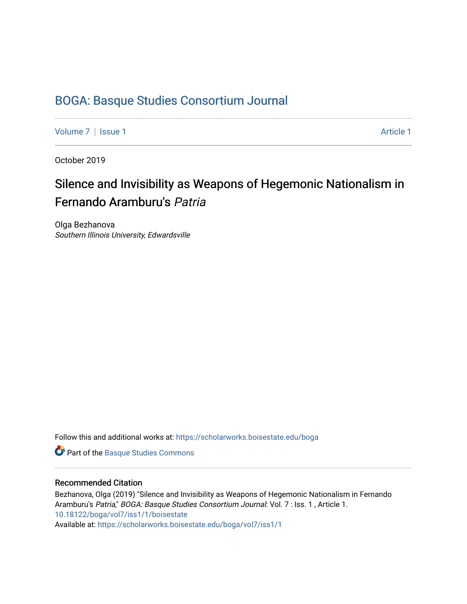## [BOGA: Basque Studies Consortium Journal](https://scholarworks.boisestate.edu/boga)

[Volume 7](https://scholarworks.boisestate.edu/boga/vol7) | [Issue 1](https://scholarworks.boisestate.edu/boga/vol7/iss1) Article 1

October 2019

## Silence and Invisibility as Weapons of Hegemonic Nationalism in Fernando Aramburu's Patria

Olga Bezhanova Southern Illinois University, Edwardsville

Follow this and additional works at: [https://scholarworks.boisestate.edu/boga](https://scholarworks.boisestate.edu/boga?utm_source=scholarworks.boisestate.edu%2Fboga%2Fvol7%2Fiss1%2F1&utm_medium=PDF&utm_campaign=PDFCoverPages) 

Part of the [Basque Studies Commons](http://network.bepress.com/hgg/discipline/1244?utm_source=scholarworks.boisestate.edu%2Fboga%2Fvol7%2Fiss1%2F1&utm_medium=PDF&utm_campaign=PDFCoverPages) 

## Recommended Citation

Bezhanova, Olga (2019) "Silence and Invisibility as Weapons of Hegemonic Nationalism in Fernando Aramburu's Patria," BOGA: Basque Studies Consortium Journal: Vol. 7 : Iss. 1, Article 1. <10.18122/boga/vol7/iss1/1/boisestate> Available at: [https://scholarworks.boisestate.edu/boga/vol7/iss1/1](https://scholarworks.boisestate.edu/boga/vol7/iss1/1?utm_source=scholarworks.boisestate.edu%2Fboga%2Fvol7%2Fiss1%2F1&utm_medium=PDF&utm_campaign=PDFCoverPages)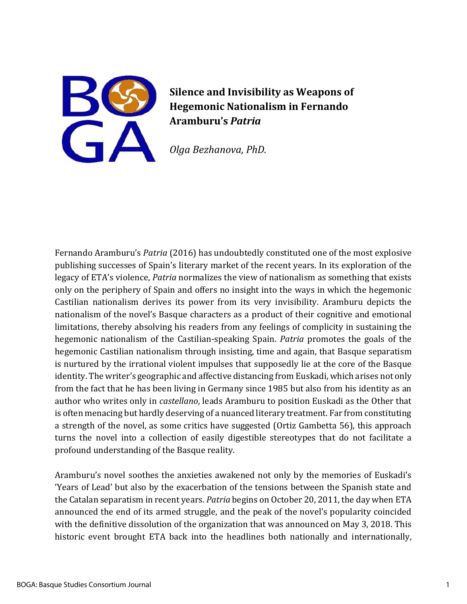

**Silence and Invisibility as Weapons of Hegemonic Nationalism in Fernando Aramburu's** *Patria*

*Olga Bezhanova, PhD.*

Fernando Aramburu's *Patria* (2016) has undoubtedly constituted one of the most explosive publishing successes of Spain's literary market of the recent years. In its exploration of the legacy of ETA's violence, *Patria* normalizes the view of nationalism as something that exists only on the periphery of Spain and offers no insight into the ways in which the hegemonic Castilian nationalism derives its power from its very invisibility. Aramburu depicts the nationalism of the novel's Basque characters as a product of their cognitive and emotional limitations, thereby absolving his readers from any feelings of complicity in sustaining the hegemonic nationalism of the Castilian-speaking Spain. *Patria* promotes the goals of the hegemonic Castilian nationalism through insisting, time and again, that Basque separatism is nurtured by the irrational violent impulses that supposedly lie at the core of the Basque identity. The writer's geographic and affective distancing from Euskadi, which arises not only from the fact that he has been living in Germany since 1985 but also from his identity as an author who writes only in *castellano*, leads Aramburu to position Euskadi as the Other that is often menacing but hardly deserving of a nuanced literary treatment. Far from constituting a strength of the novel, as some critics have suggested (Ortiz Gambetta 56), this approach turns the novel into a collection of easily digestible stereotypes that do not facilitate a profound understanding of the Basque reality.

Aramburu's novel soothes the anxieties awakened not only by the memories of Euskadi's 'Years of Lead' but also by the exacerbation of the tensions between the Spanish state and the Catalan separatism in recent years. *Patria* begins on October 20, 2011, the day when ETA announced the end of its armed struggle, and the peak of the novel's popularity coincided with the definitive dissolution of the organization that was announced on May 3, 2018. This historic event brought ETA back into the headlines both nationally and internationally,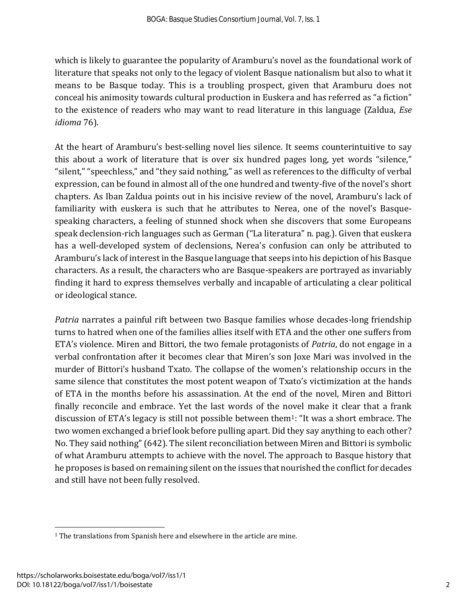which is likely to guarantee the popularity of Aramburu's novel as the foundational work of literature that speaks not only to the legacy of violent Basque nationalism but also to what it means to be Basque today. This is a troubling prospect, given that Aramburu does not conceal his animosity towards cultural production in Euskera and has referred as "a fiction" to the existence of readers who may want to read literature in this language (Zaldua, *Ese idioma* 76).

At the heart of Aramburu's best-selling novel lies silence. It seems counterintuitive to say this about a work of literature that is over six hundred pages long, yet words "silence," "silent," "speechless," and "they said nothing," as well as references to the difficulty of verbal expression, can be found in almost all of the one hundred and twenty-five of the novel's short chapters. As Iban Zaldua points out in his incisive review of the novel, Aramburu's lack of familiarity with euskera is such that he attributes to Nerea, one of the novel's Basquespeaking characters, a feeling of stunned shock when she discovers that some Europeans speak declension-rich languages such as German ("La literatura" n. pag.). Given that euskera has a well-developed system of declensions, Nerea's confusion can only be attributed to Aramburu's lack of interest in the Basque language that seeps into his depiction of his Basque characters. As a result, the characters who are Basque-speakers are portrayed as invariably finding it hard to express themselves verbally and incapable of articulating a clear political or ideological stance.

*Patria* narrates a painful rift between two Basque families whose decades-long friendship turns to hatred when one of the families allies itself with ETA and the other one suffers from ETA's violence. Miren and Bittori, the two female protagonists of *Patria*, do not engage in a verbal confrontation after it becomes clear that Miren's son Joxe Mari was involved in the murder of Bittori's husband Txato. The collapse of the women's relationship occurs in the same silence that constitutes the most potent weapon of Txato's victimization at the hands of ETA in the months before his assassination. At the end of the novel, Miren and Bittori finally reconcile and embrace. Yet the last words of the novel make it clear that a frank discussion of ETA's legacy is still not possible between them1: "It was a short embrace. The two women exchanged a brief look before pulling apart. Did they say anything to each other? No. They said nothing" (642). The silent reconciliation between Miren and Bittori is symbolic of what Aramburu attempts to achieve with the novel. The approach to Basque history that he proposes is based on remaining silent on the issues that nourished the conflict for decades and still have not been fully resolved.

<sup>&</sup>lt;sup>1</sup> The translations from Spanish here and elsewhere in the article are mine.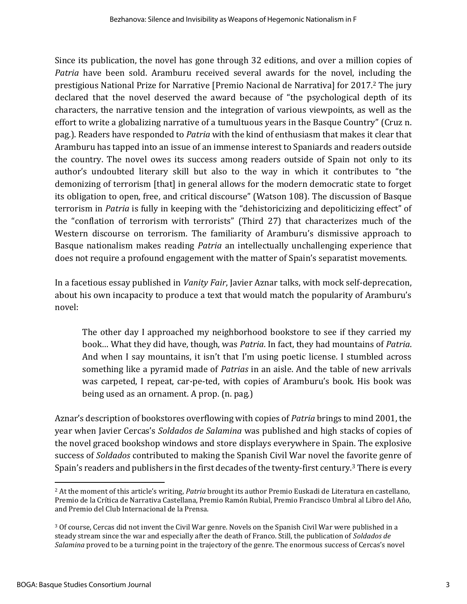Since its publication, the novel has gone through 32 editions, and over a million copies of *Patria* have been sold. Aramburu received several awards for the novel, including the prestigious National Prize for Narrative [Premio Nacional de Narrativa] for 2017.<sup>2</sup> The jury declared that the novel deserved the award because of "the psychological depth of its characters, the narrative tension and the integration of various viewpoints, as well as the effort to write a globalizing narrative of a tumultuous years in the Basque Country" (Cruz n. pag.). Readers have responded to *Patria* with the kind of enthusiasm that makes it clear that Aramburu has tapped into an issue of an immense interest to Spaniards and readers outside the country. The novel owes its success among readers outside of Spain not only to its author's undoubted literary skill but also to the way in which it contributes to "the demonizing of terrorism [that] in general allows for the modern democratic state to forget its obligation to open, free, and critical discourse" (Watson 108). The discussion of Basque terrorism in *Patria* is fully in keeping with the "dehistoricizing and depoliticizing effect" of the "conflation of terrorism with terrorists" (Third 27) that characterizes much of the Western discourse on terrorism. The familiarity of Aramburu's dismissive approach to Basque nationalism makes reading *Patria* an intellectually unchallenging experience that does not require a profound engagement with the matter of Spain's separatist movements.

In a facetious essay published in *Vanity Fair*, Javier Aznar talks, with mock self-deprecation, about his own incapacity to produce a text that would match the popularity of Aramburu's novel:

The other day I approached my neighborhood bookstore to see if they carried my book… What they did have, though, was *Patria*. In fact, they had mountains of *Patria*. And when I say mountains, it isn't that I'm using poetic license. I stumbled across something like a pyramid made of *Patrias* in an aisle. And the table of new arrivals was carpeted, I repeat, car-pe-ted, with copies of Aramburu's book. His book was being used as an ornament. A prop. (n. pag.)

Aznar's description of bookstores overflowing with copies of *Patria* brings to mind 2001, the year when Javier Cercas's *Soldados de Salamina* was published and high stacks of copies of the novel graced bookshop windows and store displays everywhere in Spain. The explosive success of *Soldados* contributed to making the Spanish Civil War novel the favorite genre of Spain's readers and publishers in the first decades of the twenty-first century.<sup>3</sup> There is every

<sup>2</sup> At the moment of this article's writing, *Patria* brought its author Premio Euskadi de Literatura en castellano, Premio de la Crítica de Narrativa Castellana, Premio Ramón Rubial, Premio Francisco Umbral al Libro del Año, and Premio del Club Internacional de la Prensa.

<sup>3</sup> Of course, Cercas did not invent the Civil War genre. Novels on the Spanish Civil War were published in a steady stream since the war and especially after the death of Franco. Still, the publication of *Soldados de Salamina* proved to be a turning point in the trajectory of the genre. The enormous success of Cercas's novel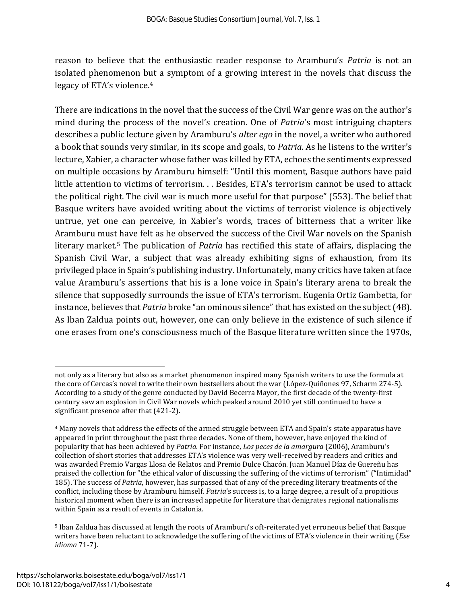reason to believe that the enthusiastic reader response to Aramburu's *Patria* is not an isolated phenomenon but a symptom of a growing interest in the novels that discuss the legacy of ETA's violence. 4

There are indications in the novel that the success of the Civil War genre was on the author's mind during the process of the novel's creation. One of *Patria*'s most intriguing chapters describes a public lecture given by Aramburu's *alter ego* in the novel, a writer who authored a book that sounds very similar, in its scope and goals, to *Patria*. As he listens to the writer's lecture, Xabier, a character whose father was killed by ETA, echoes the sentiments expressed on multiple occasions by Aramburu himself: "Until this moment, Basque authors have paid little attention to victims of terrorism. . . Besides, ETA's terrorism cannot be used to attack the political right. The civil war is much more useful for that purpose" (553). The belief that Basque writers have avoided writing about the victims of terrorist violence is objectively untrue, yet one can perceive, in Xabier's words, traces of bitterness that a writer like Aramburu must have felt as he observed the success of the Civil War novels on the Spanish literary market.<sup>5</sup> The publication of *Patria* has rectified this state of affairs, displacing the Spanish Civil War, a subject that was already exhibiting signs of exhaustion, from its privileged place in Spain's publishing industry. Unfortunately, many critics have taken at face value Aramburu's assertions that his is a lone voice in Spain's literary arena to break the silence that supposedly surrounds the issue of ETA's terrorism. Eugenia Ortiz Gambetta, for instance, believes that *Patria* broke "an ominous silence" that has existed on the subject (48). As Iban Zaldua points out, however, one can only believe in the existence of such silence if one erases from one's consciousness much of the Basque literature written since the 1970s,

not only as a literary but also as a market phenomenon inspired many Spanish writers to use the formula at the core of Cercas's novel to write their own bestsellers about the war (López-Quiñones 97, Scharm 274-5). According to a study of the genre conducted by David Becerra Mayor, the first decade of the twenty-first century saw an explosion in Civil War novels which peaked around 2010 yet still continued to have a significant presence after that (421-2).

<sup>4</sup> Many novels that address the effects of the armed struggle between ETA and Spain's state apparatus have appeared in print throughout the past three decades. None of them, however, have enjoyed the kind of popularity that has been achieved by *Patria*. For instance, *Los peces de la amargura* (2006), Aramburu's collection of short stories that addresses ETA's violence was very well-received by readers and critics and was awarded Premio Vargas Llosa de Relatos and Premio Dulce Chacón. Juan Manuel Díaz de Guereñu has praised the collection for "the ethical valor of discussing the suffering of the victims of terrorism" ("Intimidad" 185). The success of *Patria*, however, has surpassed that of any of the preceding literary treatments of the conflict, including those by Aramburu himself. *Patria*'s success is, to a large degree, a result of a propitious historical moment when there is an increased appetite for literature that denigrates regional nationalisms within Spain as a result of events in Catalonia.

<sup>5</sup> Iban Zaldua has discussed at length the roots of Aramburu's oft-reiterated yet erroneous belief that Basque writers have been reluctant to acknowledge the suffering of the victims of ETA's violence in their writing (*Ese idioma* 71-7).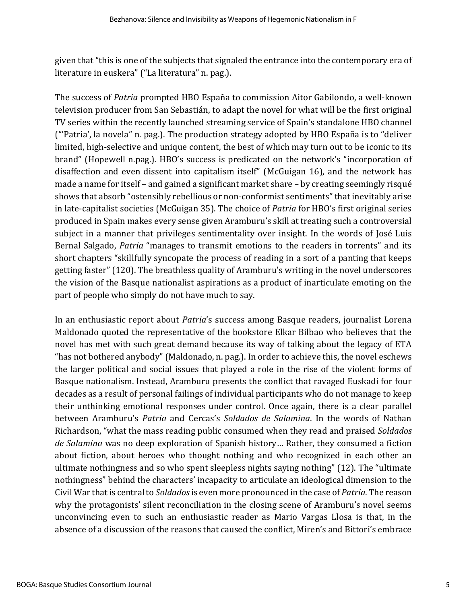given that "this is one of the subjects that signaled the entrance into the contemporary era of literature in euskera" ("La literatura" n. pag.).

The success of *Patria* prompted HBO España to commission Aitor Gabilondo, a well-known television producer from San Sebastián, to adapt the novel for what will be the first original TV series within the recently launched streaming service of Spain's standalone HBO channel ("'Patria', la novela" n. pag.). The production strategy adopted by HBO España is to "deliver limited, high-selective and unique content, the best of which may turn out to be iconic to its brand" (Hopewell n.pag.). HBO's success is predicated on the network's "incorporation of disaffection and even dissent into capitalism itself" (McGuigan 16), and the network has made a name for itself – and gained a significant market share – by creating seemingly risqué shows that absorb "ostensibly rebellious or non-conformist sentiments" that inevitably arise in late-capitalist societies (McGuigan 35). The choice of *Patria* for HBO's first original series produced in Spain makes every sense given Aramburu's skill at treating such a controversial subject in a manner that privileges sentimentality over insight. In the words of José Luis Bernal Salgado, *Patria* "manages to transmit emotions to the readers in torrents" and its short chapters "skillfully syncopate the process of reading in a sort of a panting that keeps getting faster" (120). The breathless quality of Aramburu's writing in the novel underscores the vision of the Basque nationalist aspirations as a product of inarticulate emoting on the part of people who simply do not have much to say.

In an enthusiastic report about *Patria*'s success among Basque readers, journalist Lorena Maldonado quoted the representative of the bookstore Elkar Bilbao who believes that the novel has met with such great demand because its way of talking about the legacy of ETA "has not bothered anybody" (Maldonado, n. pag.). In order to achieve this, the novel eschews the larger political and social issues that played a role in the rise of the violent forms of Basque nationalism. Instead, Aramburu presents the conflict that ravaged Euskadi for four decades as a result of personal failings of individual participants who do not manage to keep their unthinking emotional responses under control. Once again, there is a clear parallel between Aramburu's *Patria* and Cercas's *Soldados de Salamina*. In the words of Nathan Richardson, "what the mass reading public consumed when they read and praised *Soldados de Salamina* was no deep exploration of Spanish history… Rather, they consumed a fiction about fiction, about heroes who thought nothing and who recognized in each other an ultimate nothingness and so who spent sleepless nights saying nothing" (12). The "ultimate nothingness" behind the characters' incapacity to articulate an ideological dimension to the Civil War that is central to *Soldados*is even more pronounced in the case of *Patria*. The reason why the protagonists' silent reconciliation in the closing scene of Aramburu's novel seems unconvincing even to such an enthusiastic reader as Mario Vargas Llosa is that, in the absence of a discussion of the reasons that caused the conflict, Miren's and Bittori's embrace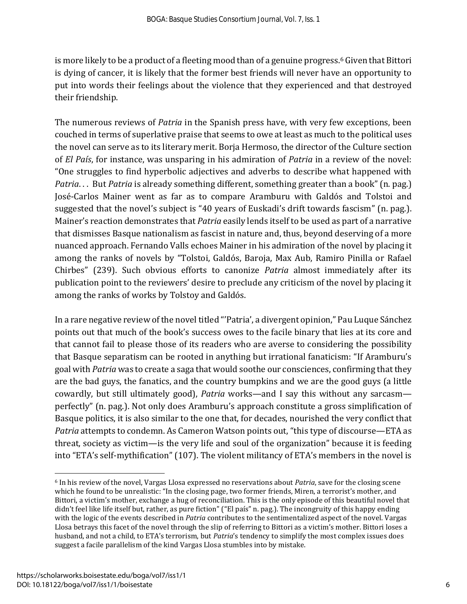is more likely to be a product of a fleeting mood than of a genuine progress.<sup>6</sup> Given that Bittori is dying of cancer, it is likely that the former best friends will never have an opportunity to put into words their feelings about the violence that they experienced and that destroyed their friendship.

The numerous reviews of *Patria* in the Spanish press have, with very few exceptions, been couched in terms of superlative praise that seems to owe at least as much to the political uses the novel can serve as to its literary merit. Borja Hermoso, the director of the Culture section of *El País*, for instance, was unsparing in his admiration of *Patria* in a review of the novel: "One struggles to find hyperbolic adjectives and adverbs to describe what happened with *Patria...* But *Patria* is already something different, something greater than a book" (n. pag.) José-Carlos Mainer went as far as to compare Aramburu with Galdós and Tolstoi and suggested that the novel's subject is "40 years of Euskadi's drift towards fascism" (n. pag.). Mainer's reaction demonstrates that *Patria* easily lends itself to be used as part of a narrative that dismisses Basque nationalism as fascist in nature and, thus, beyond deserving of a more nuanced approach. Fernando Valls echoes Mainer in his admiration of the novel by placing it among the ranks of novels by "Tolstoi, Galdós, Baroja, Max Aub, Ramiro Pinilla or Rafael Chirbes" (239). Such obvious efforts to canonize *Patria* almost immediately after its publication point to the reviewers' desire to preclude any criticism of the novel by placing it among the ranks of works by Tolstoy and Galdós.

In a rare negative review of the novel titled "'Patria', a divergent opinion," Pau Luque Sánchez points out that much of the book's success owes to the facile binary that lies at its core and that cannot fail to please those of its readers who are averse to considering the possibility that Basque separatism can be rooted in anything but irrational fanaticism: "If Aramburu's goal with *Patria* was to create a saga that would soothe our consciences, confirming that they are the bad guys, the fanatics, and the country bumpkins and we are the good guys (a little cowardly, but still ultimately good), *Patria* works—and I say this without any sarcasm perfectly" (n. pag.). Not only does Aramburu's approach constitute a gross simplification of Basque politics, it is also similar to the one that, for decades, nourished the very conflict that *Patria* attempts to condemn. As Cameron Watson points out, "this type of discourse—ETA as threat, society as victim—is the very life and soul of the organization" because it is feeding into "ETA's self-mythification" (107). The violent militancy of ETA's members in the novel is

<sup>6</sup> In his review of the novel, Vargas Llosa expressed no reservations about *Patria*, save for the closing scene which he found to be unrealistic: "In the closing page, two former friends, Miren, a terrorist's mother, and Bittori, a victim's mother, exchange a hug of reconciliation. This is the only episode of this beautiful novel that didn't feel like life itself but, rather, as pure fiction" ("El país" n. pag.). The incongruity of this happy ending with the logic of the events described in *Patria* contributes to the sentimentalized aspect of the novel. Vargas Llosa betrays this facet of the novel through the slip of referring to Bittori as a victim's mother. Bittori loses a husband, and not a child, to ETA's terrorism, but *Patria*'s tendency to simplify the most complex issues does suggest a facile parallelism of the kind Vargas Llosa stumbles into by mistake.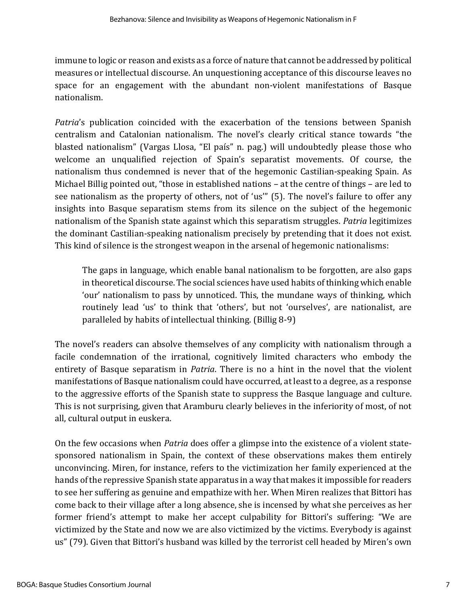immune to logic or reason and exists as a force of nature that cannot be addressed by political measures or intellectual discourse. An unquestioning acceptance of this discourse leaves no space for an engagement with the abundant non-violent manifestations of Basque nationalism.

*Patria*'s publication coincided with the exacerbation of the tensions between Spanish centralism and Catalonian nationalism. The novel's clearly critical stance towards "the blasted nationalism" (Vargas Llosa, "El país" n. pag.) will undoubtedly please those who welcome an unqualified rejection of Spain's separatist movements. Of course, the nationalism thus condemned is never that of the hegemonic Castilian-speaking Spain. As Michael Billig pointed out, "those in established nations – at the centre of things – are led to see nationalism as the property of others, not of 'us'" (5). The novel's failure to offer any insights into Basque separatism stems from its silence on the subject of the hegemonic nationalism of the Spanish state against which this separatism struggles. *Patria* legitimizes the dominant Castilian-speaking nationalism precisely by pretending that it does not exist. This kind of silence is the strongest weapon in the arsenal of hegemonic nationalisms:

The gaps in language, which enable banal nationalism to be forgotten, are also gaps in theoretical discourse. The social sciences have used habits of thinking which enable 'our' nationalism to pass by unnoticed. This, the mundane ways of thinking, which routinely lead 'us' to think that 'others', but not 'ourselves', are nationalist, are paralleled by habits of intellectual thinking. (Billig 8-9)

The novel's readers can absolve themselves of any complicity with nationalism through a facile condemnation of the irrational, cognitively limited characters who embody the entirety of Basque separatism in *Patria*. There is no a hint in the novel that the violent manifestations of Basque nationalism could have occurred, at least to a degree, as a response to the aggressive efforts of the Spanish state to suppress the Basque language and culture. This is not surprising, given that Aramburu clearly believes in the inferiority of most, of not all, cultural output in euskera.

On the few occasions when *Patria* does offer a glimpse into the existence of a violent statesponsored nationalism in Spain, the context of these observations makes them entirely unconvincing. Miren, for instance, refers to the victimization her family experienced at the hands of the repressive Spanish state apparatus in a way that makes it impossible for readers to see her suffering as genuine and empathize with her. When Miren realizes that Bittori has come back to their village after a long absence, she is incensed by what she perceives as her former friend's attempt to make her accept culpability for Bittori's suffering: "We are victimized by the State and now we are also victimized by the victims. Everybody is against us" (79). Given that Bittori's husband was killed by the terrorist cell headed by Miren's own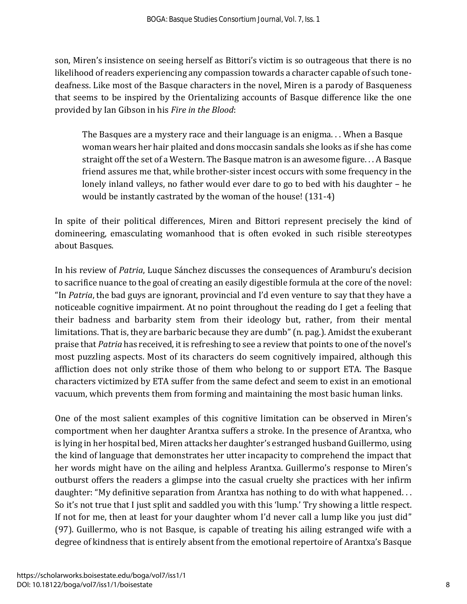son, Miren's insistence on seeing herself as Bittori's victim is so outrageous that there is no likelihood of readers experiencing any compassion towards a character capable of such tonedeafness. Like most of the Basque characters in the novel, Miren is a parody of Basqueness that seems to be inspired by the Orientalizing accounts of Basque difference like the one provided by Ian Gibson in his *Fire in the Blood*:

The Basques are a mystery race and their language is an enigma. . . When a Basque woman wears her hair plaited and dons moccasin sandals she looks as if she has come straight off the set of a Western. The Basque matron is an awesome figure. . . A Basque friend assures me that, while brother-sister incest occurs with some frequency in the lonely inland valleys, no father would ever dare to go to bed with his daughter – he would be instantly castrated by the woman of the house! (131-4)

In spite of their political differences, Miren and Bittori represent precisely the kind of domineering, emasculating womanhood that is often evoked in such risible stereotypes about Basques.

In his review of *Patria*, Luque Sánchez discusses the consequences of Aramburu's decision to sacrifice nuance to the goal of creating an easily digestible formula at the core of the novel: "In *Patria*, the bad guys are ignorant, provincial and I'd even venture to say that they have a noticeable cognitive impairment. At no point throughout the reading do I get a feeling that their badness and barbarity stem from their ideology but, rather, from their mental limitations. That is, they are barbaric because they are dumb" (n. pag.). Amidst the exuberant praise that *Patria* has received, it is refreshing to see a review that points to one of the novel's most puzzling aspects. Most of its characters do seem cognitively impaired, although this affliction does not only strike those of them who belong to or support ETA. The Basque characters victimized by ETA suffer from the same defect and seem to exist in an emotional vacuum, which prevents them from forming and maintaining the most basic human links.

One of the most salient examples of this cognitive limitation can be observed in Miren's comportment when her daughter Arantxa suffers a stroke. In the presence of Arantxa, who is lying in her hospital bed, Miren attacks her daughter's estranged husband Guillermo, using the kind of language that demonstrates her utter incapacity to comprehend the impact that her words might have on the ailing and helpless Arantxa. Guillermo's response to Miren's outburst offers the readers a glimpse into the casual cruelty she practices with her infirm daughter: "My definitive separation from Arantxa has nothing to do with what happened. . . So it's not true that I just split and saddled you with this 'lump.' Try showing a little respect. If not for me, then at least for your daughter whom I'd never call a lump like you just did" (97). Guillermo, who is not Basque, is capable of treating his ailing estranged wife with a degree of kindness that is entirely absent from the emotional repertoire of Arantxa's Basque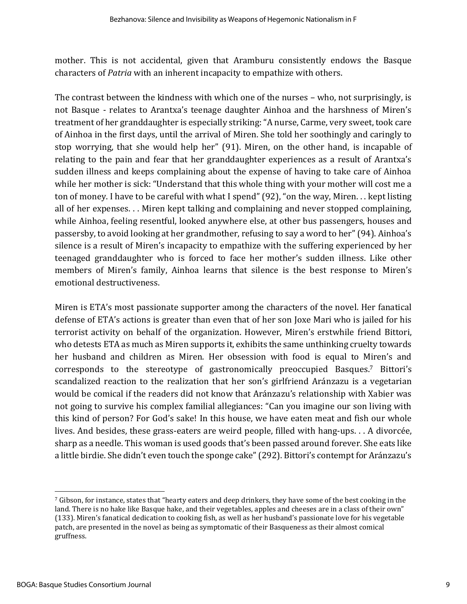mother. This is not accidental, given that Aramburu consistently endows the Basque characters of *Patria* with an inherent incapacity to empathize with others.

The contrast between the kindness with which one of the nurses – who, not surprisingly, is not Basque - relates to Arantxa's teenage daughter Ainhoa and the harshness of Miren's treatment of her granddaughter is especially striking: "A nurse, Carme, very sweet, took care of Ainhoa in the first days, until the arrival of Miren. She told her soothingly and caringly to stop worrying, that she would help her" (91). Miren, on the other hand, is incapable of relating to the pain and fear that her granddaughter experiences as a result of Arantxa's sudden illness and keeps complaining about the expense of having to take care of Ainhoa while her mother is sick: "Understand that this whole thing with your mother will cost me a ton of money. I have to be careful with what I spend" (92), "on the way, Miren. . . kept listing all of her expenses. . . Miren kept talking and complaining and never stopped complaining, while Ainhoa, feeling resentful, looked anywhere else, at other bus passengers, houses and passersby, to avoid looking at her grandmother, refusing to say a word to her" (94). Ainhoa's silence is a result of Miren's incapacity to empathize with the suffering experienced by her teenaged granddaughter who is forced to face her mother's sudden illness. Like other members of Miren's family, Ainhoa learns that silence is the best response to Miren's emotional destructiveness.

Miren is ETA's most passionate supporter among the characters of the novel. Her fanatical defense of ETA's actions is greater than even that of her son Joxe Mari who is jailed for his terrorist activity on behalf of the organization. However, Miren's erstwhile friend Bittori, who detests ETA as much as Miren supports it, exhibits the same unthinking cruelty towards her husband and children as Miren. Her obsession with food is equal to Miren's and corresponds to the stereotype of gastronomically preoccupied Basques. <sup>7</sup> Bittori's scandalized reaction to the realization that her son's girlfriend Aránzazu is a vegetarian would be comical if the readers did not know that Aránzazu's relationship with Xabier was not going to survive his complex familial allegiances: "Can you imagine our son living with this kind of person? For God's sake! In this house, we have eaten meat and fish our whole lives. And besides, these grass-eaters are weird people, filled with hang-ups. . . A divorcée, sharp as a needle. This woman is used goods that's been passed around forever. She eats like a little birdie.She didn't even touch the sponge cake" (292). Bittori's contempt for Aránzazu's

<sup>7</sup> Gibson, for instance, states that "hearty eaters and deep drinkers, they have some of the best cooking in the land. There is no hake like Basque hake, and their vegetables, apples and cheeses are in a class of their own" (133). Miren's fanatical dedication to cooking fish, as well as her husband's passionate love for his vegetable patch, are presented in the novel as being as symptomatic of their Basqueness as their almost comical gruffness.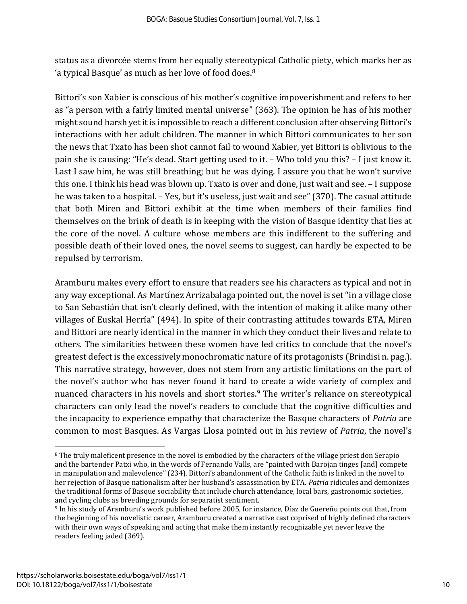status as a divorcée stems from her equally stereotypical Catholic piety, which marks her as 'a typical Basque' as much as her love of food does.<sup>8</sup>

Bittori's son Xabier is conscious of his mother's cognitive impoverishment and refers to her as "a person with a fairly limited mental universe" (363). The opinion he has of his mother might sound harsh yet it is impossible to reach a different conclusion after observing Bittori's interactions with her adult children. The manner in which Bittori communicates to her son the news that Txato has been shot cannot fail to wound Xabier, yet Bittori is oblivious to the pain she is causing: "He's dead. Start getting used to it. – Who told you this? – I just know it. Last I saw him, he was still breathing; but he was dying. I assure you that he won't survive this one. I think his head was blown up. Txato is over and done, just wait and see. – I suppose he was taken to a hospital. – Yes, but it's useless, just wait and see" (370). The casual attitude that both Miren and Bittori exhibit at the time when members of their families find themselves on the brink of death is in keeping with the vision of Basque identity that lies at the core of the novel. A culture whose members are this indifferent to the suffering and possible death of their loved ones, the novel seems to suggest, can hardly be expected to be repulsed by terrorism.

Aramburu makes every effort to ensure that readers see his characters as typical and not in any way exceptional. As Martínez Arrizabalaga pointed out, the novel is set "in a village close to San Sebastián that isn't clearly defined, with the intention of making it alike many other villages of Euskal Herría" (494). In spite of their contrasting attitudes towards ETA, Miren and Bittori are nearly identical in the manner in which they conduct their lives and relate to others. The similarities between these women have led critics to conclude that the novel's greatest defect is the excessively monochromatic nature of its protagonists (Brindisi n. pag.). This narrative strategy, however, does not stem from any artistic limitations on the part of the novel's author who has never found it hard to create a wide variety of complex and nuanced characters in his novels and short stories. <sup>9</sup> The writer's reliance on stereotypical characters can only lead the novel's readers to conclude that the cognitive difficulties and the incapacity to experience empathy that characterize the Basque characters of *Patria* are common to most Basques. As Vargas Llosa pointed out in his review of *Patria*, the novel's

<sup>&</sup>lt;sup>8</sup> The truly maleficent presence in the novel is embodied by the characters of the village priest don Serapio and the bartender Patxi who, in the words of Fernando Valls, are "painted with Barojan tinges [and] compete in manipulation and malevolence" (234). Bittori's abandonment of the Catholic faith is linked in the novel to her rejection of Basque nationalism after her husband's assassination by ETA. *Patria* ridicules and demonizes the traditional forms of Basque sociability that include church attendance, local bars, gastronomic societies, and cycling clubs as breeding grounds for separatist sentiment.

<sup>9</sup> In his study of Aramburu's work published before 2005, for instance, Díaz de Guereñu points out that, from the beginning of his novelistic career, Aramburu created a narrative cast coprised of highly defined characters with their own ways of speaking and acting that make them instantly recognizable yet never leave the readers feeling jaded (369).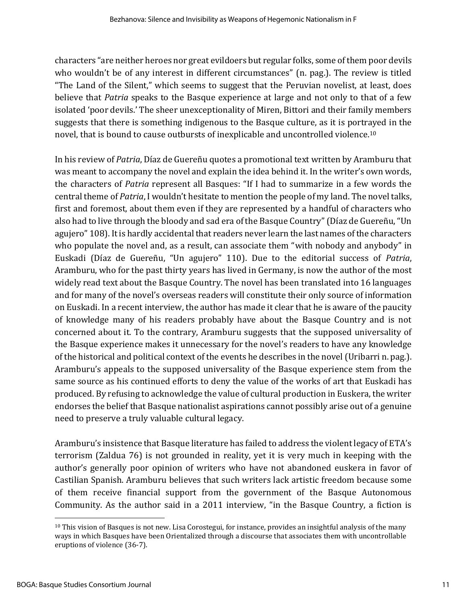characters "are neither heroes nor great evildoers but regular folks, some of them poor devils who wouldn't be of any interest in different circumstances" (n. pag.). The review is titled "The Land of the Silent," which seems to suggest that the Peruvian novelist, at least, does believe that *Patria* speaks to the Basque experience at large and not only to that of a few isolated 'poor devils.' The sheer unexceptionality of Miren, Bittori and their family members suggests that there is something indigenous to the Basque culture, as it is portrayed in the novel, that is bound to cause outbursts of inexplicable and uncontrolled violence.<sup>10</sup>

In his review of *Patria*, Díaz de Guereñu quotes a promotional text written by Aramburu that was meant to accompany the novel and explain the idea behind it. In the writer's own words, the characters of *Patria* represent all Basques: "If I had to summarize in a few words the central theme of *Patria*, I wouldn't hesitate to mention the people of my land. The novel talks, first and foremost, about them even if they are represented by a handful of characters who also had to live through the bloody and sad era of the Basque Country" (Díaz de Guereñu, "Un agujero" 108). It is hardly accidental that readers never learn the last names of the characters who populate the novel and, as a result, can associate them "with nobody and anybody" in Euskadi (Díaz de Guereñu, "Un agujero" 110). Due to the editorial success of *Patria*, Aramburu, who for the past thirty years has lived in Germany, is now the author of the most widely read text about the Basque Country. The novel has been translated into 16 languages and for many of the novel's overseas readers will constitute their only source of information on Euskadi. In a recent interview, the author has made it clear that he is aware of the paucity of knowledge many of his readers probably have about the Basque Country and is not concerned about it. To the contrary, Aramburu suggests that the supposed universality of the Basque experience makes it unnecessary for the novel's readers to have any knowledge of the historical and political context of the events he describes in the novel (Uribarri n. pag.). Aramburu's appeals to the supposed universality of the Basque experience stem from the same source as his continued efforts to deny the value of the works of art that Euskadi has produced. By refusing to acknowledge the value of cultural production in Euskera, the writer endorses the belief that Basque nationalist aspirations cannot possibly arise out of a genuine need to preserve a truly valuable cultural legacy.

Aramburu's insistence that Basque literature has failed to address the violent legacy of ETA's terrorism (Zaldua 76) is not grounded in reality, yet it is very much in keeping with the author's generally poor opinion of writers who have not abandoned euskera in favor of Castilian Spanish. Aramburu believes that such writers lack artistic freedom because some of them receive financial support from the government of the Basque Autonomous Community. As the author said in a 2011 interview, "in the Basque Country, a fiction is

 $10$  This vision of Basques is not new. Lisa Corostegui, for instance, provides an insightful analysis of the many ways in which Basques have been Orientalized through a discourse that associates them with uncontrollable eruptions of violence (36-7).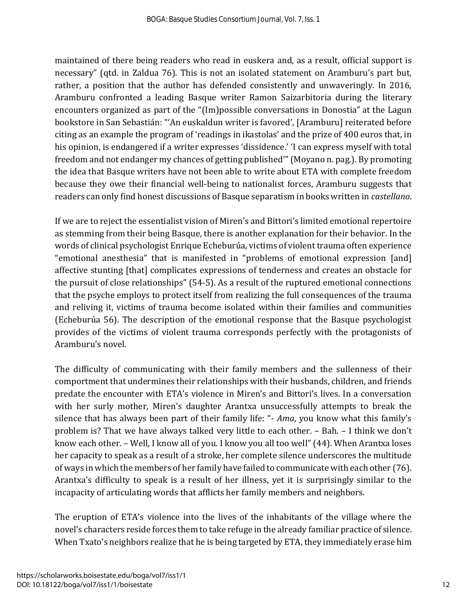maintained of there being readers who read in euskera and, as a result, official support is necessary" (qtd. in Zaldua 76). This is not an isolated statement on Aramburu's part but, rather, a position that the author has defended consistently and unwaveringly. In 2016, Aramburu confronted a leading Basque writer Ramon Saizarbitoria during the literary encounters organized as part of the "(Im)possible conversations in Donostia" at the Lagun bookstore in San Sebastián: "'An euskaldun writer is favored', [Aramburu] reiterated before citing as an example the program of 'readings in ikastolas' and the prize of 400 euros that, in his opinion, is endangered if a writer expresses 'dissidence.' 'I can express myself with total freedom and not endanger my chances of getting published'" (Moyano n. pag.). By promoting the idea that Basque writers have not been able to write about ETA with complete freedom because they owe their financial well-being to nationalist forces, Aramburu suggests that readers can only find honest discussions of Basque separatism in books written in *castellano*.

If we are to reject the essentialist vision of Miren's and Bittori's limited emotional repertoire as stemming from their being Basque, there is another explanation for their behavior. In the words of clinical psychologist Enrique Echeburúa, victims of violent trauma often experience "emotional anesthesia" that is manifested in "problems of emotional expression [and] affective stunting [that] complicates expressions of tenderness and creates an obstacle for the pursuit of close relationships" (54-5). As a result of the ruptured emotional connections that the psyche employs to protect itself from realizing the full consequences of the trauma and reliving it, victims of trauma become isolated within their families and communities (Echeburúa 56). The description of the emotional response that the Basque psychologist provides of the victims of violent trauma corresponds perfectly with the protagonists of Aramburu's novel.

The difficulty of communicating with their family members and the sullenness of their comportment that undermines their relationships with their husbands, children, and friends predate the encounter with ETA's violence in Miren's and Bittori's lives. In a conversation with her surly mother, Miren's daughter Arantxa unsuccessfully attempts to break the silence that has always been part of their family life: "- *Ama*, you know what this family's problem is? That we have always talked very little to each other. – Bah. – I think we don't know each other. – Well, I know all of you. I know you all too well" (44). When Arantxa loses her capacity to speak as a result of a stroke, her complete silence underscores the multitude of ways in which the members of her family have failed to communicate with each other (76). Arantxa's difficulty to speak is a result of her illness, yet it is surprisingly similar to the incapacity of articulating words that afflicts her family members and neighbors.

The eruption of ETA's violence into the lives of the inhabitants of the village where the novel's characters reside forces them to take refuge in the already familiar practice of silence. When Txato's neighbors realize that he is being targeted by ETA, they immediately erase him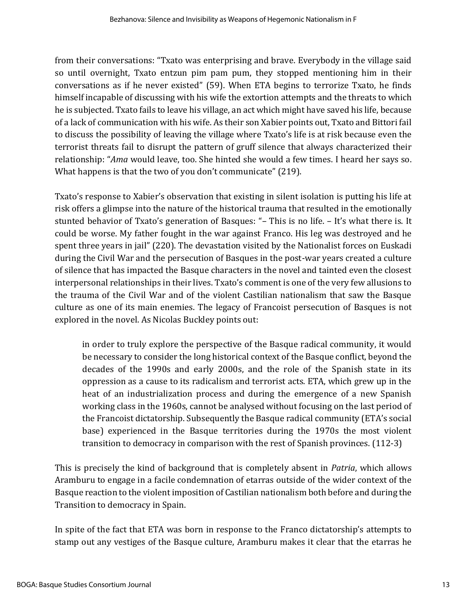from their conversations: "Txato was enterprising and brave. Everybody in the village said so until overnight, Txato entzun pim pam pum, they stopped mentioning him in their conversations as if he never existed" (59). When ETA begins to terrorize Txato, he finds himself incapable of discussing with his wife the extortion attempts and the threats to which he is subjected. Txato fails to leave his village, an act which might have saved his life, because of a lack of communication with his wife. As their son Xabier points out, Txato and Bittori fail to discuss the possibility of leaving the village where Txato's life is at risk because even the terrorist threats fail to disrupt the pattern of gruff silence that always characterized their relationship: "*Ama* would leave, too. She hinted she would a few times. I heard her says so. What happens is that the two of you don't communicate" (219).

Txato's response to Xabier's observation that existing in silent isolation is putting his life at risk offers a glimpse into the nature of the historical trauma that resulted in the emotionally stunted behavior of Txato's generation of Basques: "– This is no life. – It's what there is. It could be worse. My father fought in the war against Franco. His leg was destroyed and he spent three years in jail" (220). The devastation visited by the Nationalist forces on Euskadi during the Civil War and the persecution of Basques in the post-war years created a culture of silence that has impacted the Basque characters in the novel and tainted even the closest interpersonal relationships in their lives. Txato's comment is one of the very few allusions to the trauma of the Civil War and of the violent Castilian nationalism that saw the Basque culture as one of its main enemies. The legacy of Francoist persecution of Basques is not explored in the novel. As Nicolas Buckley points out:

in order to truly explore the perspective of the Basque radical community, it would be necessary to consider the long historical context of the Basque conflict, beyond the decades of the 1990s and early 2000s, and the role of the Spanish state in its oppression as a cause to its radicalism and terrorist acts. ETA, which grew up in the heat of an industrialization process and during the emergence of a new Spanish working class in the 1960s, cannot be analysed without focusing on the last period of the Francoist dictatorship. Subsequently the Basque radical community (ETA's social base) experienced in the Basque territories during the 1970s the most violent transition to democracy in comparison with the rest of Spanish provinces. (112-3)

This is precisely the kind of background that is completely absent in *Patria*, which allows Aramburu to engage in a facile condemnation of etarras outside of the wider context of the Basque reaction to the violent imposition of Castilian nationalism both before and during the Transition to democracy in Spain.

In spite of the fact that ETA was born in response to the Franco dictatorship's attempts to stamp out any vestiges of the Basque culture, Aramburu makes it clear that the etarras he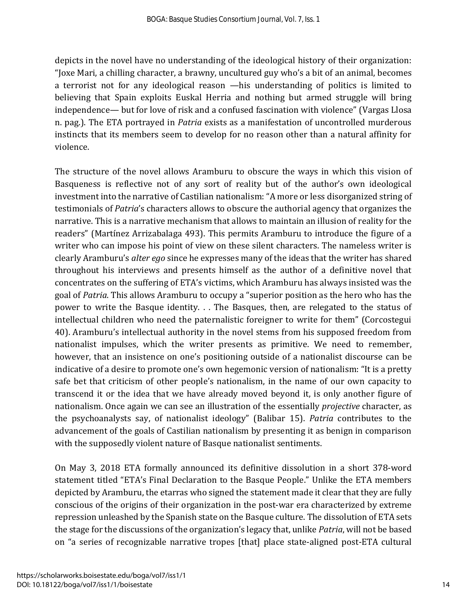depicts in the novel have no understanding of the ideological history of their organization: "Joxe Mari, a chilling character, a brawny, uncultured guy who's a bit of an animal, becomes a terrorist not for any ideological reason —his understanding of politics is limited to believing that Spain exploits Euskal Herria and nothing but armed struggle will bring independence— but for love of risk and a confused fascination with violence" (Vargas Llosa n. pag.). The ETA portrayed in *Patria* exists as a manifestation of uncontrolled murderous instincts that its members seem to develop for no reason other than a natural affinity for violence.

The structure of the novel allows Aramburu to obscure the ways in which this vision of Basqueness is reflective not of any sort of reality but of the author's own ideological investment into the narrative of Castilian nationalism: "A more or less disorganized string of testimonials of *Patria*'s characters allows to obscure the authorial agency that organizes the narrative. This is a narrative mechanism that allows to maintain an illusion of reality for the readers" (Martínez Arrizabalaga 493). This permits Aramburu to introduce the figure of a writer who can impose his point of view on these silent characters. The nameless writer is clearly Aramburu's *alter ego* since he expresses many of the ideas that the writer has shared throughout his interviews and presents himself as the author of a definitive novel that concentrates on the suffering of ETA's victims, which Aramburu has always insisted was the goal of *Patria*. This allows Aramburu to occupy a "superior position as the hero who has the power to write the Basque identity. . . The Basques, then, are relegated to the status of intellectual children who need the paternalistic foreigner to write for them" (Corcostegui 40). Aramburu's intellectual authority in the novel stems from his supposed freedom from nationalist impulses, which the writer presents as primitive. We need to remember, however, that an insistence on one's positioning outside of a nationalist discourse can be indicative of a desire to promote one's own hegemonic version of nationalism: "It is a pretty safe bet that criticism of other people's nationalism, in the name of our own capacity to transcend it or the idea that we have already moved beyond it, is only another figure of nationalism. Once again we can see an illustration of the essentially *projective* character, as the psychoanalysts say, of nationalist ideology" (Balibar 15). *Patria* contributes to the advancement of the goals of Castilian nationalism by presenting it as benign in comparison with the supposedly violent nature of Basque nationalist sentiments.

On May 3, 2018 ETA formally announced its definitive dissolution in a short 378-word statement titled "ETA's Final Declaration to the Basque People." Unlike the ETA members depicted by Aramburu, the etarras who signed the statement made it clear that they are fully conscious of the origins of their organization in the post-war era characterized by extreme repression unleashed by the Spanish state on the Basque culture. The dissolution of ETA sets the stage for the discussions of the organization's legacy that, unlike *Patria*, will not be based on "a series of recognizable narrative tropes [that] place state-aligned post-ETA cultural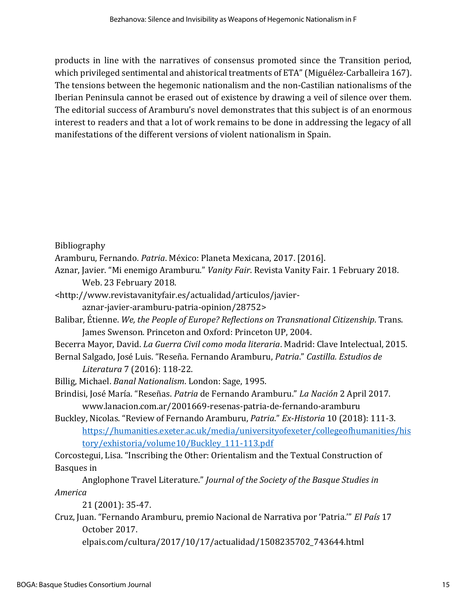products in line with the narratives of consensus promoted since the Transition period, which privileged sentimental and ahistorical treatments of ETA" (Miguélez-Carballeira 167). The tensions between the hegemonic nationalism and the non-Castilian nationalisms of the Iberian Peninsula cannot be erased out of existence by drawing a veil of silence over them. The editorial success of Aramburu's novel demonstrates that this subject is of an enormous interest to readers and that a lot of work remains to be done in addressing the legacy of all manifestations of the different versions of violent nationalism in Spain.

Bibliography

```
Aramburu, Fernando. Patria. México: Planeta Mexicana, 2017. [2016].
```
Aznar, Javier. "Mi enemigo Aramburu." *Vanity Fair*. Revista Vanity Fair. 1 February 2018. Web. 23 February 2018.

- <http://www.revistavanityfair.es/actualidad/articulos/javier
	- aznar-javier-aramburu-patria-opinion/28752>
- Balibar, Étienne. *We, the People of Europe? Reflections on Transnational Citizenship*. Trans. James Swenson. Princeton and Oxford: Princeton UP, 2004.
- Becerra Mayor, David. *La Guerra Civil como moda literaria*. Madrid: Clave Intelectual, 2015.
- Bernal Salgado, José Luis. "Reseña. Fernando Aramburu, *Patria*." *Castilla. Estudios de Literatura* 7 (2016): 118-22.
- Billig, Michael. *Banal Nationalism*. London: Sage, 1995.
- Brindisi, José María. "Reseñas. *Patria* de Fernando Aramburu." *La Nación* 2 April 2017. www.lanacion.com.ar/2001669-resenas-patria-de-fernando-aramburu
- Buckley, Nicolas. "Review of Fernando Aramburu, *Patria*." *Ex-Historia* 10 (2018): 111-3. [https://humanities.exeter.ac.uk/media/universityofexeter/collegeofhumanities/his](https://humanities.exeter.ac.uk/media/universityofexeter/collegeofhumanities/history/exhistoria/volume10/Buckley_111-113.pdf) [tory/exhistoria/volume10/Buckley\\_111-113.pdf](https://humanities.exeter.ac.uk/media/universityofexeter/collegeofhumanities/history/exhistoria/volume10/Buckley_111-113.pdf)

Corcostegui, Lisa. "Inscribing the Other: Orientalism and the Textual Construction of Basques in

Anglophone Travel Literature." *Journal of the Society of the Basque Studies in America*

21 (2001): 35-47.

Cruz, Juan. "Fernando Aramburu, premio Nacional de Narrativa por 'Patria.'" *El País* 17 October 2017.

elpais.com/cultura/2017/10/17/actualidad/1508235702\_743644.html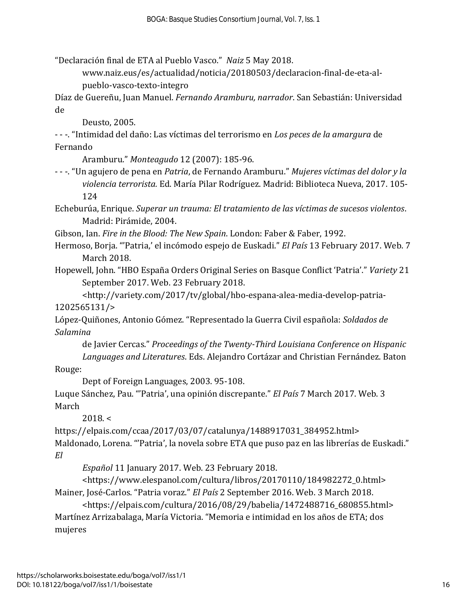"Declaración final de ETA al Pueblo Vasco." *Naiz* 5 May 2018.

www.naiz.eus/es/actualidad/noticia/20180503/declaracion-final-de-eta-alpueblo-vasco-texto-integro

Díaz de Guereñu, Juan Manuel. *Fernando Aramburu, narrador*. San Sebastián: Universidad de

Deusto, 2005.

- - -. "Intimidad del daño: Las víctimas del terrorismo en *Los peces de la amargura* de Fernando

Aramburu." *Monteagudo* 12 (2007): 185-96.

- - -. "Un agujero de pena en *Patria*, de Fernando Aramburu." *Mujeres víctimas del dolor y la violencia terrorista.* Ed. María Pilar Rodríguez. Madrid: Biblioteca Nueva, 2017. 105- 124

Echeburúa, Enrique. *Superar un trauma: El tratamiento de las víctimas de sucesos violentos*. Madrid: Pirámide, 2004.

Gibson, Ian. *Fire in the Blood: The New Spain*. London: Faber & Faber, 1992.

Hermoso, Borja. "'Patria,' el incómodo espejo de Euskadi." *El País* 13 February 2017. Web. 7 March 2018.

Hopewell, John. "HBO España Orders Original Series on Basque Conflict 'Patria'." *Variety* 21 September 2017. Web. 23 February 2018.

<http://variety.com/2017/tv/global/hbo-espana-alea-media-develop-patria-1202565131/>

López-Quiñones, Antonio Gómez. "Representado la Guerra Civil española: *Soldados de Salamina*

de Javier Cercas." *Proceedings of the Twenty-Third Louisiana Conference on Hispanic Languages and Literatures*. Eds. Alejandro Cortázar and Christian Fernández. Baton

Rouge:

Dept of Foreign Languages, 2003. 95-108.

Luque Sánchez, Pau. "'Patria', una opinión discrepante." *El País* 7 March 2017. Web. 3 March

 $2018.<sub>2</sub>$ 

https://elpais.com/ccaa/2017/03/07/catalunya/1488917031\_384952.html> Maldonado, Lorena. "'Patria', la novela sobre ETA que puso paz en las librerías de Euskadi." *El* 

*Español* 11 January 2017. Web. 23 February 2018.

<https://www.elespanol.com/cultura/libros/20170110/184982272\_0.html> Mainer, José-Carlos. "Patria voraz." *El País* 2 September 2016. Web. 3 March 2018.

<https://elpais.com/cultura/2016/08/29/babelia/1472488716\_680855.html> Martínez Arrizabalaga, María Victoria. "Memoria e intimidad en los años de ETA; dos mujeres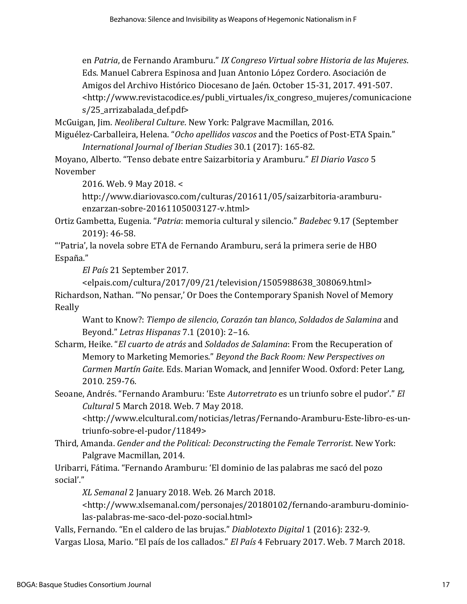en *Patria*, de Fernando Aramburu." *IX Congreso Virtual sobre Historia de las Mujeres*. Eds. Manuel Cabrera Espinosa and Juan Antonio López Cordero. Asociación de Amigos del Archivo Histórico Diocesano de Jaén. October 15-31, 2017. 491-507. <http://www.revistacodice.es/publi\_virtuales/ix\_congreso\_mujeres/comunicacione s/25 arrizabalada def.pdf>

McGuigan, Jim. *Neoliberal Culture*. New York: Palgrave Macmillan, 2016.

Miguélez-Carballeira, Helena. "*Ocho apellidos vascos* and the Poetics of Post-ETA Spain." *International Journal of Iberian Studies* 30.1 (2017): 165-82.

Moyano, Alberto. "Tenso debate entre Saizarbitoria y Aramburu." *El Diario Vasco* 5 November

2016. Web. 9 May 2018. <

http://www.diariovasco.com/culturas/201611/05/saizarbitoria-aramburuenzarzan-sobre-20161105003127-v.html>

Ortiz Gambetta, Eugenia. "*Patria*: memoria cultural y silencio." *Badebec* 9.17 (September 2019): 46-58.

"'Patria', la novela sobre ETA de Fernando Aramburu, será la primera serie de HBO España."

*El País* 21 September 2017.

<elpais.com/cultura/2017/09/21/television/1505988638\_308069.html> Richardson, Nathan. "'No pensar,' Or Does the Contemporary Spanish Novel of Memory Really

Want to Know?: *Tiempo de silencio*, *Corazón tan blanco*, *Soldados de Salamina* and Beyond." *Letras Hispanas* 7.1 (2010): 2–16.

Scharm, Heike. "*El cuarto de atrás* and *Soldados de Salamina*: From the Recuperation of Memory to Marketing Memories." *Beyond the Back Room: New Perspectives on Carmen Martín Gaite*. Eds. Marian Womack, and Jennifer Wood. Oxford: Peter Lang, 2010. 259-76.

Seoane, Andrés. "Fernando Aramburu: 'Este *Autorretrato* es un triunfo sobre el pudor'." *El Cultural* 5 March 2018. Web. 7 May 2018.

<http://www.elcultural.com/noticias/letras/Fernando-Aramburu-Este-libro-es-untriunfo-sobre-el-pudor/11849>

Third, Amanda. *Gender and the Political: Deconstructing the Female Terrorist*. New York: Palgrave Macmillan, 2014.

Uribarri, Fátima. "Fernando Aramburu: 'El dominio de las palabras me sacó del pozo social'."

*XL Semanal* 2 January 2018. Web. 26 March 2018.

<http://www.xlsemanal.com/personajes/20180102/fernando-aramburu-dominiolas-palabras-me-saco-del-pozo-social.html>

Valls, Fernando. "En el caldero de las brujas." *Diablotexto Digital* 1 (2016): 232-9. Vargas Llosa, Mario. "El país de los callados." *El País* 4 February 2017. Web. 7 March 2018.